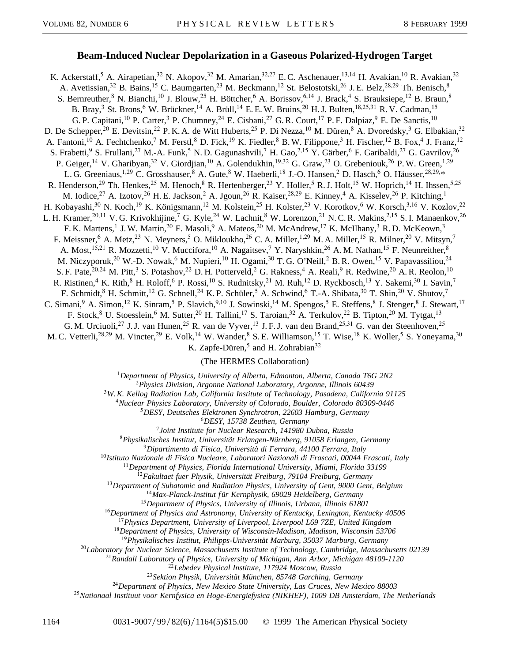## **Beam-Induced Nuclear Depolarization in a Gaseous Polarized-Hydrogen Target**

K. Ackerstaff,<sup>5</sup> A. Airapetian,<sup>32</sup> N. Akopov,<sup>32</sup> M. Amarian,<sup>32,27</sup> E.C. Aschenauer,<sup>13,14</sup> H. Avakian,<sup>10</sup> R. Avakian,<sup>32</sup> A. Avetissian,<sup>32</sup> B. Bains,<sup>15</sup> C. Baumgarten,<sup>23</sup> M. Beckmann,<sup>12</sup> St. Belostotski,<sup>26</sup> J. E. Belz,<sup>28,29</sup> Th. Benisch,<sup>8</sup> S. Bernreuther,<sup>8</sup> N. Bianchi,<sup>10</sup> J. Blouw,<sup>25</sup> H. Böttcher,<sup>6</sup> A. Borissov,<sup>6,14</sup> J. Brack,<sup>4</sup> S. Brauksiepe,<sup>12</sup> B. Braun,<sup>8</sup> B. Bray,<sup>3</sup> St. Brons,<sup>6</sup> W. Brückner,<sup>14</sup> A. Brüll,<sup>14</sup> E. E. W. Bruins,<sup>20</sup> H. J. Bulten,<sup>18,25,31</sup> R. V. Cadman,<sup>15</sup> G. P. Capitani,<sup>10</sup> P. Carter,<sup>3</sup> P. Chumney,<sup>24</sup> E. Cisbani,<sup>27</sup> G. R. Court,<sup>17</sup> P. F. Dalpiaz,<sup>9</sup> E. De Sanctis,<sup>10</sup> D. De Schepper,<sup>20</sup> E. Devitsin,<sup>22</sup> P. K. A. de Witt Huberts,<sup>25</sup> P. Di Nezza,<sup>10</sup> M. Düren,<sup>8</sup> A. Dvoredsky,<sup>3</sup> G. Elbakian,<sup>32</sup> A. Fantoni,<sup>10</sup> A. Fechtchenko,<sup>7</sup> M. Ferstl,<sup>8</sup> D. Fick,<sup>19</sup> K. Fiedler,<sup>8</sup> B. W. Filippone,<sup>3</sup> H. Fischer,<sup>12</sup> B. Fox,<sup>4</sup> J. Franz,<sup>12</sup> S. Frabetti,<sup>9</sup> S. Frullani,<sup>27</sup> M.-A. Funk,<sup>5</sup> N. D. Gagunashvili,<sup>7</sup> H. Gao,<sup>2,15</sup> Y. Gärber,<sup>6</sup> F. Garibaldi,<sup>27</sup> G. Gavrilov,<sup>26</sup> P. Geiger,<sup>14</sup> V. Gharibyan,<sup>32</sup> V. Giordjian,<sup>10</sup> A. Golendukhin,<sup>19,32</sup> G. Graw,<sup>23</sup> O. Grebeniouk,<sup>26</sup> P. W. Green,<sup>1,29</sup> L. G. Greeniaus,<sup>1,29</sup> C. Grosshauser, <sup>8</sup> A. Gute, <sup>8</sup> W. Haeberli, <sup>18</sup> J.-O. Hansen, <sup>2</sup> D. Hasch, <sup>6</sup> O. Häusser,  $^{28,29,*}$ R. Henderson,<sup>29</sup> Th. Henkes,<sup>25</sup> M. Henoch,<sup>8</sup> R. Hertenberger,<sup>23</sup> Y. Holler,<sup>5</sup> R. J. Holt,<sup>15</sup> W. Hoprich,<sup>14</sup> H. Ihssen,<sup>5,25</sup> M. Iodice,<sup>27</sup> A. Izotov,<sup>26</sup> H. E. Jackson,<sup>2</sup> A. Jgoun,<sup>26</sup> R. Kaiser,<sup>28,29</sup> E. Kinney,<sup>4</sup> A. Kisselev,<sup>26</sup> P. Kitching,<sup>1</sup> H. Kobayashi,<sup>30</sup> N. Koch,<sup>19</sup> K. Königsmann,<sup>12</sup> M. Kolstein,<sup>25</sup> H. Kolster,<sup>23</sup> V. Korotkov,<sup>6</sup> W. Korsch,<sup>3,16</sup> V. Kozlov,<sup>22</sup> L. H. Kramer,<sup>20,11</sup> V. G. Krivokhijine,<sup>7</sup> G. Kyle,<sup>24</sup> W. Lachnit,<sup>8</sup> W. Lorenzon,<sup>21</sup> N. C. R. Makins,<sup>2,15</sup> S. I. Manaenkov,<sup>26</sup> F. K. Martens,<sup>1</sup> J. W. Martin,<sup>20</sup> F. Masoli,<sup>9</sup> A. Mateos,<sup>20</sup> M. McAndrew,<sup>17</sup> K. McIlhany,<sup>3</sup> R. D. McKeown,<sup>3</sup> F. Meissner,<sup>6</sup> A. Metz,<sup>23</sup> N. Meyners,<sup>5</sup> O. Mikloukho,<sup>26</sup> C. A. Miller,<sup>1,29</sup> M. A. Miller,<sup>15</sup> R. Milner,<sup>20</sup> V. Mitsyn,<sup>7</sup> A. Most,<sup>15,21</sup> R. Mozzetti,<sup>10</sup> V. Muccifora,<sup>10</sup> A. Nagaitsev,<sup>7</sup> Y. Naryshkin,<sup>26</sup> A. M. Nathan,<sup>15</sup> F. Neunreither,<sup>8</sup> M. Niczyporuk,<sup>20</sup> W.-D. Nowak,<sup>6</sup> M. Nupieri,<sup>10</sup> H. Ogami,<sup>30</sup> T. G. O'Neill,<sup>2</sup> B. R. Owen,<sup>15</sup> V. Papavassiliou,<sup>24</sup> S. F. Pate,  $^{20,24}$  M. Pitt,  $^3$  S. Potashov,  $^{22}$  D. H. Potterveld,  $^2$  G. Rakness,  $^4$  A. Reali,  $^9$  R. Redwine,  $^{20}$  A. R. Reolon,  $^{10}$ R. Ristinen,<sup>4</sup> K. Rith,<sup>8</sup> H. Roloff,<sup>6</sup> P. Rossi,<sup>10</sup> S. Rudnitsky,<sup>21</sup> M. Ruh,<sup>12</sup> D. Ryckbosch,<sup>13</sup> Y. Sakemi,<sup>30</sup> I. Savin,<sup>7</sup> F. Schmidt,<sup>8</sup> H. Schmitt,<sup>12</sup> G. Schnell,<sup>24</sup> K. P. Schüler,<sup>5</sup> A. Schwind,<sup>6</sup> T.-A. Shibata,<sup>30</sup> T. Shin,<sup>20</sup> V. Shutov,<sup>7</sup> C. Simani, <sup>9</sup> A. Simon, <sup>12</sup> K. Sinram, <sup>5</sup> P. Slavich, <sup>9,10</sup> J. Sowinski, <sup>14</sup> M. Spengos, <sup>5</sup> E. Steffens, <sup>8</sup> J. Stenger, <sup>8</sup> J. Stewart, <sup>17</sup> F. Stock, <sup>8</sup> U. Stoesslein, <sup>6</sup> M. Sutter, <sup>20</sup> H. Tallini, <sup>17</sup> S. Taroian, <sup>32</sup> A. Terkulov, <sup>22</sup> B. Tipton, <sup>20</sup> M. Tytgat, <sup>13</sup> G. M. Urciuoli,<sup>27</sup> J. J. van Hunen,<sup>25</sup> R. van de Vyver,<sup>13</sup> J. F. J. van den Brand,<sup>25,31</sup> G. van der Steenhoven,<sup>25</sup> M. C. Vetterli,<sup>28,29</sup> M. Vincter,<sup>29</sup> E. Volk,<sup>14</sup> W. Wander,<sup>8</sup> S. E. Williamson,<sup>15</sup> T. Wise,<sup>18</sup> K. Woller,<sup>5</sup> S. Yoneyama,<sup>30</sup> K. Zapfe-Düren, $5$  and H. Zohrabian $32$ 

(The HERMES Collaboration)

<sup>1</sup>*Department of Physics, University of Alberta, Edmonton, Alberta, Canada T6G 2N2*

<sup>2</sup>*Physics Division, Argonne National Laboratory, Argonne, Illinois 60439*

<sup>3</sup>*W. K. Kellog Radiation Lab, California Institute of Technology, Pasadena, California 91125*

<sup>4</sup>*Nuclear Physics Laboratory, University of Colorado, Boulder, Colorado 80309-0446*

<sup>5</sup>*DESY, Deutsches Elektronen Synchrotron, 22603 Hamburg, Germany*

<sup>6</sup>*DESY, 15738 Zeuthen, Germany*

<sup>7</sup>*Joint Institute for Nuclear Research, 141980 Dubna, Russia*

<sup>8</sup>*Physikalisches Institut, Universität Erlangen-Nürnberg, 91058 Erlangen, Germany*

<sup>9</sup>*Dipartimento di Fisica, Università di Ferrara, 44100 Ferrara, Italy*

<sup>10</sup>*Istituto Nazionale di Fisica Nucleare, Laboratori Nazionali di Frascati, 00044 Frascati, Italy*

<sup>11</sup>*Department of Physics, Florida International University, Miami, Florida 33199*

<sup>12</sup>*Fakultaet fuer Physik, Universität Freiburg, 79104 Freiburg, Germany*

<sup>13</sup>*Department of Subatomic and Radiation Physics, University of Gent, 9000 Gent, Belgium*

<sup>14</sup>*Max-Planck-Institut f ür Kernphysik, 69029 Heidelberg, Germany*

<sup>15</sup>*Department of Physics, University of Illinois, Urbana, Illinois 61801*

<sup>16</sup>*Department of Physics and Astronomy, University of Kentucky, Lexington, Kentucky 40506*

<sup>17</sup>*Physics Department, University of Liverpool, Liverpool L69 7ZE, United Kingdom*

<sup>18</sup>*Department of Physics, University of Wisconsin-Madison, Madison, Wisconsin 53706*

<sup>19</sup>*Physikalisches Institut, Philipps-Universität Marburg, 35037 Marburg, Germany*

<sup>20</sup>*Laboratory for Nuclear Science, Massachusetts Institute of Technology, Cambridge, Massachusetts 02139*

<sup>21</sup>*Randall Laboratory of Physics, University of Michigan, Ann Arbor, Michigan 48109-1120*

<sup>22</sup>*Lebedev Physical Institute, 117924 Moscow, Russia*

<sup>23</sup>*Sektion Physik, Universität München, 85748 Garching, Germany*

<sup>24</sup>*Department of Physics, New Mexico State University, Las Cruces, New Mexico 88003*

<sup>25</sup>*Nationaal Instituut voor Kernfysica en Hoge-Energiefysica (NIKHEF), 1009 DB Amsterdam, The Netherlands*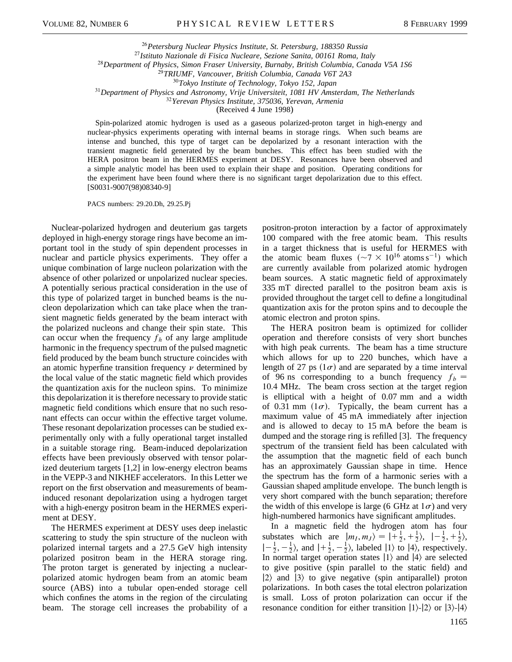*Petersburg Nuclear Physics Institute, St. Petersburg, 188350 Russia Istituto Nazionale di Fisica Nucleare, Sezione Sanita, 00161 Roma, Italy Department of Physics, Simon Fraser University, Burnaby, British Columbia, Canada V5A 1S6 TRIUMF, Vancouver, British Columbia, Canada V6T 2A3 Tokyo Institute of Technology, Tokyo 152, Japan Department of Physics and Astronomy, Vrije Universiteit, 1081 HV Amsterdam, The Netherlands Yerevan Physics Institute, 375036, Yerevan, Armenia*

(Received 4 June 1998)

Spin-polarized atomic hydrogen is used as a gaseous polarized-proton target in high-energy and nuclear-physics experiments operating with internal beams in storage rings. When such beams are intense and bunched, this type of target can be depolarized by a resonant interaction with the transient magnetic field generated by the beam bunches. This effect has been studied with the HERA positron beam in the HERMES experiment at DESY. Resonances have been observed and a simple analytic model has been used to explain their shape and position. Operating conditions for the experiment have been found where there is no significant target depolarization due to this effect. [S0031-9007(98)08340-9]

PACS numbers: 29.20.Dh, 29.25.Pj

Nuclear-polarized hydrogen and deuterium gas targets deployed in high-energy storage rings have become an important tool in the study of spin dependent processes in nuclear and particle physics experiments. They offer a unique combination of large nucleon polarization with the absence of other polarized or unpolarized nuclear species. A potentially serious practical consideration in the use of this type of polarized target in bunched beams is the nucleon depolarization which can take place when the transient magnetic fields generated by the beam interact with the polarized nucleons and change their spin state. This can occur when the frequency  $f<sub>h</sub>$  of any large amplitude harmonic in the frequency spectrum of the pulsed magnetic field produced by the beam bunch structure coincides with an atomic hyperfine transition frequency  $\nu$  determined by the local value of the static magnetic field which provides the quantization axis for the nucleon spins. To minimize this depolarization it is therefore necessary to provide static magnetic field conditions which ensure that no such resonant effects can occur within the effective target volume. These resonant depolarization processes can be studied experimentally only with a fully operational target installed in a suitable storage ring. Beam-induced depolarization effects have been previously observed with tensor polarized deuterium targets [1,2] in low-energy electron beams in the VEPP-3 and NIKHEF accelerators. In this Letter we report on the first observation and measurements of beaminduced resonant depolarization using a hydrogen target with a high-energy positron beam in the HERMES experiment at DESY.

The HERMES experiment at DESY uses deep inelastic scattering to study the spin structure of the nucleon with polarized internal targets and a 27.5 GeV high intensity polarized positron beam in the HERA storage ring. The proton target is generated by injecting a nuclearpolarized atomic hydrogen beam from an atomic beam source (ABS) into a tubular open-ended storage cell which confines the atoms in the region of the circulating beam. The storage cell increases the probability of a positron-proton interaction by a factor of approximately 100 compared with the free atomic beam. This results in a target thickness that is useful for HERMES with the atomic beam fluxes  $({\sim}7 \times 10^{16} \text{ atoms s}^{-1})$  which are currently available from polarized atomic hydrogen beam sources. A static magnetic field of approximately 335 mT directed parallel to the positron beam axis is provided throughout the target cell to define a longitudinal quantization axis for the proton spins and to decouple the atomic electron and proton spins.

The HERA positron beam is optimized for collider operation and therefore consists of very short bunches with high peak currents. The beam has a time structure which allows for up to 220 bunches, which have a length of 27 ps  $(1\sigma)$  and are separated by a time interval of 96 ns corresponding to a bunch frequency  $f_b =$ 10.4 MHz. The beam cross section at the target region is elliptical with a height of 0.07 mm and a width of 0.31 mm  $(1\sigma)$ . Typically, the beam current has a maximum value of 45 mA immediately after injection and is allowed to decay to 15 mA before the beam is dumped and the storage ring is refilled [3]. The frequency spectrum of the transient field has been calculated with the assumption that the magnetic field of each bunch has an approximately Gaussian shape in time. Hence the spectrum has the form of a harmonic series with a Gaussian shaped amplitude envelope. The bunch length is very short compared with the bunch separation; therefore the width of this envelope is large (6 GHz at  $1\sigma$ ) and very high-numbered harmonics have significant amplitudes.

In a magnetic field the hydrogen atom has four substates which are  $|m_I, m_J\rangle = |+\frac{1}{2}, +\frac{1}{2}\rangle, |-\frac{1}{2}, +\frac{1}{2}\rangle,$  $\vert-\frac{1}{2},-\frac{1}{2}\rangle$ , and  $\vert+\frac{1}{2},-\frac{1}{2}\rangle$ , labeled  $\vert1\rangle$  to  $\vert4\rangle$ , respectively. In normal target operation states  $|1\rangle$  and  $|4\rangle$  are selected to give positive (spin parallel to the static field) and  $|2\rangle$  and  $|3\rangle$  to give negative (spin antiparallel) proton polarizations. In both cases the total electron polarization is small. Loss of proton polarization can occur if the resonance condition for either transition  $|1\rangle$ - $|2\rangle$  or  $|3\rangle$ - $|4\rangle$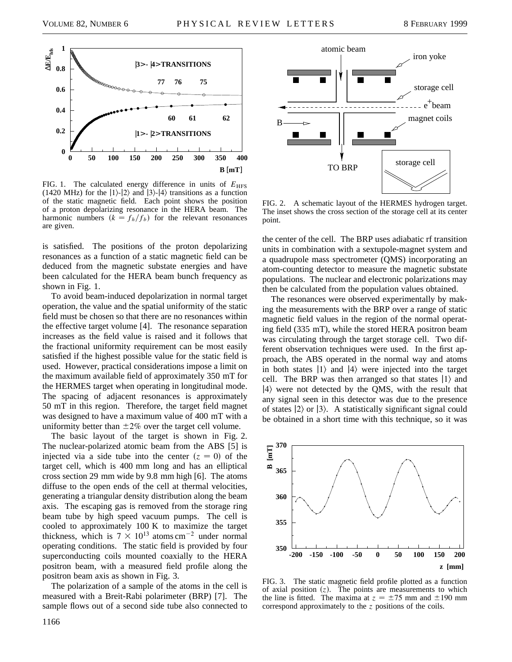

FIG. 1. The calculated energy difference in units of  $E_{\text{HFS}}$ (1420 MHz) for the  $|1\rangle$ - $|2\rangle$  and  $|3\rangle$ - $|4\rangle$  transitions as a function of the static magnetic field. Each point shows the position of a proton depolarizing resonance in the HERA beam. The harmonic numbers  $(k = f_h/f_b)$  for the relevant resonances are given.

is satisfied. The positions of the proton depolarizing resonances as a function of a static magnetic field can be deduced from the magnetic substate energies and have been calculated for the HERA beam bunch frequency as shown in Fig. 1.

To avoid beam-induced depolarization in normal target operation, the value and the spatial uniformity of the static field must be chosen so that there are no resonances within the effective target volume [4]. The resonance separation increases as the field value is raised and it follows that the fractional uniformity requirement can be most easily satisfied if the highest possible value for the static field is used. However, practical considerations impose a limit on the maximum available field of approximately 350 mT for the HERMES target when operating in longitudinal mode. The spacing of adjacent resonances is approximately 50 mT in this region. Therefore, the target field magnet was designed to have a maximum value of 400 mT with a uniformity better than  $\pm 2\%$  over the target cell volume.

The basic layout of the target is shown in Fig. 2. The nuclear-polarized atomic beam from the ABS [5] is injected via a side tube into the center  $(z = 0)$  of the target cell, which is 400 mm long and has an elliptical cross section 29 mm wide by 9.8 mm high [6]. The atoms diffuse to the open ends of the cell at thermal velocities, generating a triangular density distribution along the beam axis. The escaping gas is removed from the storage ring beam tube by high speed vacuum pumps. The cell is cooled to approximately 100 K to maximize the target thickness, which is  $7 \times 10^{13}$  atoms cm<sup>-2</sup> under normal operating conditions. The static field is provided by four superconducting coils mounted coaxially to the HERA positron beam, with a measured field profile along the positron beam axis as shown in Fig. 3.

The polarization of a sample of the atoms in the cell is measured with a Breit-Rabi polarimeter (BRP) [7]. The sample flows out of a second side tube also connected to



FIG. 2. A schematic layout of the HERMES hydrogen target. The inset shows the cross section of the storage cell at its center point.

the center of the cell. The BRP uses adiabatic rf transition units in combination with a sextupole-magnet system and a quadrupole mass spectrometer (QMS) incorporating an atom-counting detector to measure the magnetic substate populations. The nuclear and electronic polarizations may then be calculated from the population values obtained.

The resonances were observed experimentally by making the measurements with the BRP over a range of static magnetic field values in the region of the normal operating field (335 mT), while the stored HERA positron beam was circulating through the target storage cell. Two different observation techniques were used. In the first approach, the ABS operated in the normal way and atoms in both states  $|1\rangle$  and  $|4\rangle$  were injected into the target cell. The BRP was then arranged so that states  $|1\rangle$  and  $|4\rangle$  were not detected by the QMS, with the result that any signal seen in this detector was due to the presence of states  $|2\rangle$  or  $|3\rangle$ . A statistically significant signal could be obtained in a short time with this technique, so it was



FIG. 3. The static magnetic field profile plotted as a function of axial position  $(z)$ . The points are measurements to which the line is fitted. The maxima at  $z = \pm 75$  mm and  $\pm 190$  mm correspond approximately to the *z* positions of the coils.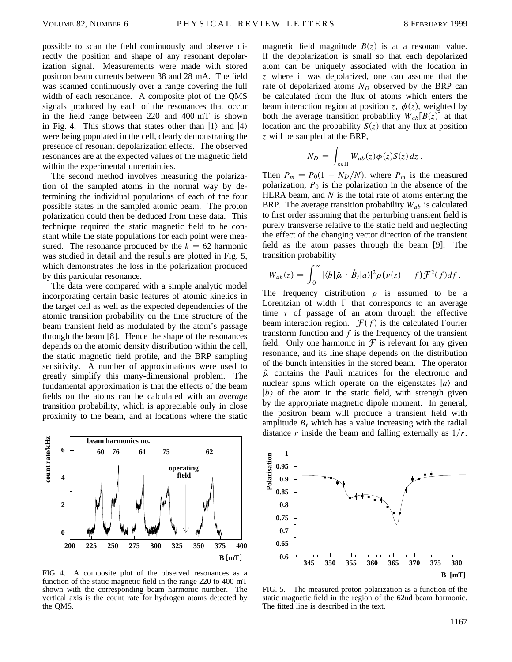possible to scan the field continuously and observe directly the position and shape of any resonant depolarization signal. Measurements were made with stored positron beam currents between 38 and 28 mA. The field was scanned continuously over a range covering the full width of each resonance. A composite plot of the QMS signals produced by each of the resonances that occur in the field range between 220 and 400 mT is shown in Fig. 4. This shows that states other than  $|1\rangle$  and  $|4\rangle$ were being populated in the cell, clearly demonstrating the presence of resonant depolarization effects. The observed resonances are at the expected values of the magnetic field within the experimental uncertainties.

The second method involves measuring the polarization of the sampled atoms in the normal way by determining the individual populations of each of the four possible states in the sampled atomic beam. The proton polarization could then be deduced from these data. This technique required the static magnetic field to be constant while the state populations for each point were measured. The resonance produced by the  $k = 62$  harmonic was studied in detail and the results are plotted in Fig. 5, which demonstrates the loss in the polarization produced by this particular resonance.

The data were compared with a simple analytic model incorporating certain basic features of atomic kinetics in the target cell as well as the expected dependencies of the atomic transition probability on the time structure of the beam transient field as modulated by the atom's passage through the beam [8]. Hence the shape of the resonances depends on the atomic density distribution within the cell, the static magnetic field profile, and the BRP sampling sensitivity. A number of approximations were used to greatly simplify this many-dimensional problem. The fundamental approximation is that the effects of the beam fields on the atoms can be calculated with an *average* transition probability, which is appreciable only in close proximity to the beam, and at locations where the static



FIG. 4. A composite plot of the observed resonances as a function of the static magnetic field in the range 220 to 400 mT shown with the corresponding beam harmonic number. The vertical axis is the count rate for hydrogen atoms detected by the QMS.

magnetic field magnitude  $B(z)$  is at a resonant value. If the depolarization is small so that each depolarized atom can be uniquely associated with the location in *z* where it was depolarized, one can assume that the rate of depolarized atoms  $N_D$  observed by the BRP can be calculated from the flux of atoms which enters the beam interaction region at position *z*,  $\phi(z)$ , weighted by both the average transition probability  $W_{ab}[B(z)]$  at that location and the probability  $S(z)$  that any flux at position *z* will be sampled at the BRP,

$$
N_D = \int_{cell} W_{ab}(z) \phi(z) S(z) dz.
$$

Then  $P_m = P_0(1 - N_D/N)$ , where  $P_m$  is the measured polarization,  $P_0$  is the polarization in the absence of the HERA beam, and *N* is the total rate of atoms entering the BRP. The average transition probability *Wab* is calculated to first order assuming that the perturbing transient field is purely transverse relative to the static field and neglecting the effect of the changing vector direction of the transient field as the atom passes through the beam [9]. The transition probability

$$
W_{ab}(z) = \int_0^\infty |\langle b|\hat{\mu} \cdot \vec{B}_t|a\rangle|^2 \rho(\nu(z) - f) \mathcal{F}^2(f) df.
$$

The frequency distribution  $\rho$  is assumed to be a Lorentzian of width  $\Gamma$  that corresponds to an average time  $\tau$  of passage of an atom through the effective beam interaction region.  $\mathcal{F}(f)$  is the calculated Fourier transform function and *f* is the frequency of the transient field. Only one harmonic in  $\mathcal F$  is relevant for any given resonance, and its line shape depends on the distribution of the bunch intensities in the stored beam. The operator  $\hat{\mu}$  contains the Pauli matrices for the electronic and nuclear spins which operate on the eigenstates  $|a\rangle$  and  $|b\rangle$  of the atom in the static field, with strength given by the appropriate magnetic dipole moment. In general, the positron beam will produce a transient field with amplitude  $B_t$  which has a value increasing with the radial distance *r* inside the beam and falling externally as  $1/r$ .



FIG. 5. The measured proton polarization as a function of the static magnetic field in the region of the 62nd beam harmonic. The fitted line is described in the text.